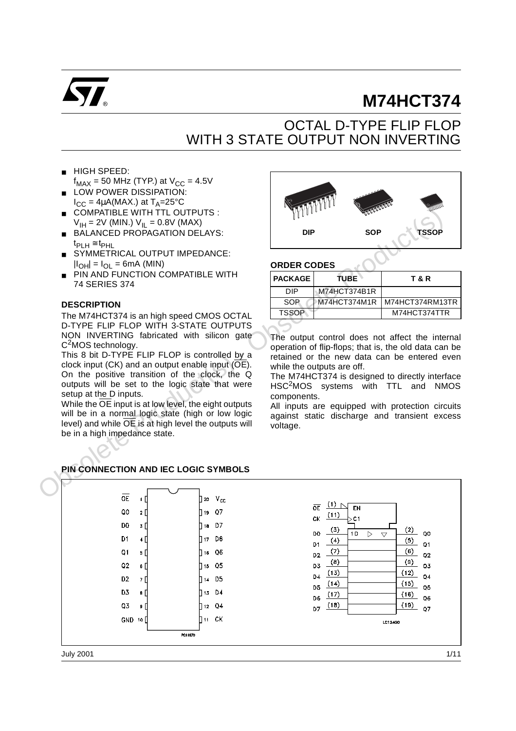

# **M74HCT374**

# OCTAL D-TYPE FLIP FLOP WITH 3 STATE OUTPUT NON INVERTING

- HIGH SPEED:
- $f_{MAX}$  = 50 MHz (TYP.) at  $V_{CC}$  = 4.5V LOW POWER DISSIPATION:
- $I_{CC} = 4\mu A(MAX.)$  at  $T_A = 25^{\circ}C$ ■ COMPATIBLE WITH TTL OUTPUTS :
- $V_{\text{IH}} = 2V$  (MIN.)  $V_{\text{IL}} = 0.8V$  (MAX)
- BALANCED PROPAGATION DELAYS:  $t_{\text{PI H}} \cong t_{\text{PHL}}$
- SYMMETRICAL OUTPUT IMPEDANCE:  $|I_{OH}| = I_{OL} = 6mA$  (MIN)
- **PIN AND FUNCTION COMPATIBLE WITH** 74 SERIES 374

#### **DESCRIPTION**

The M74HCT374 is an high speed CMOS OCTAL D-TYPE FLIP FLOP WITH 3-STATE OUTPUTS NON INVERTING fabricated with silicon gate C<sup>2</sup>MOS technology.

This 8 bit D-TYPE FLIP FLOP is controlled by a clock input (CK) and an output enable input (OE). On the positive transition of the clock, the Q outputs will be set to the logic state that were setup at the D inputs.

While the  $\overline{OE}$  input is at low level, the eight outputs will be in a normal logic state (high or low logic level) and while OE is at high level the outputs will be in a high impedance state.



#### **ORDER CODES**

| <b>PACKAGE</b> | TUBE.        | T & R           |
|----------------|--------------|-----------------|
| DIP            | M74HCT374B1R |                 |
| <b>SOP</b>     | M74HCT374M1R | M74HCT374RM13TR |
| <b>TSSOP</b>   |              | M74HCT374TTR    |
|                |              |                 |

The output control does not affect the internal operation of flip-flops; that is, the old data can be retained or the new data can be entered even while the outputs are off.

The M74HCT374 is designed to directly interface HSC2MOS systems with TTL and NMOS components.

All inputs are equipped with protection circuits against static discharge and transient excess voltage.



## **PIN CONNECTION AND IEC LOGIC SYMBOLS**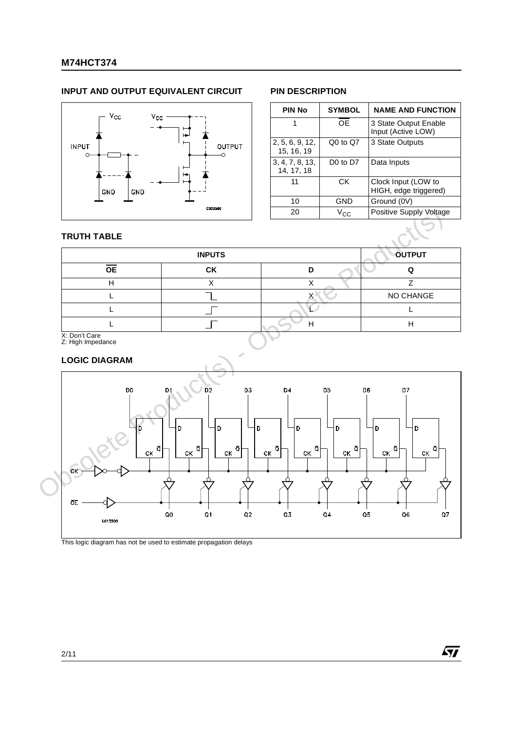### **M74HCT374**

### **INPUT AND OUTPUT EQUIVALENT CIRCUIT PIN DESCRIPTION**



| <b>PIN No</b>                 | <b>SYMBOL</b>                    | <b>NAME AND FUNCTION</b>                     |
|-------------------------------|----------------------------------|----------------------------------------------|
|                               | ОE                               | 3 State Output Enable<br>Input (Active LOW)  |
| 2, 5, 6, 9, 12,<br>15, 16, 19 | Q0 to Q7                         | 3 State Outputs                              |
| 3, 4, 7, 8, 13,<br>14, 17, 18 | D <sub>0</sub> to D <sub>7</sub> | Data Inputs                                  |
| 11                            | СK                               | Clock Input (LOW to<br>HIGH, edge triggered) |
| 10                            | GND                              | Ground (0V)                                  |
| 20                            | $V_{\text{C}C}$                  | Positive Supply Voltage                      |

 $\sqrt{27}$ 

#### **TRUTH TABLE**

|                 | <b>INPUTS</b> |   | <b>OUTPUT</b> |
|-----------------|---------------|---|---------------|
| <b>OE</b>       | CK            | D |               |
|                 |               |   |               |
|                 |               |   | NO CHANGE     |
|                 |               |   |               |
|                 |               | ⊢ | г             |
| $Y:$ Don't Care |               |   |               |

X: Don't Care Z: High Impedance

#### **LOGIC DIAGRAM**



This logic diagram has not be used to estimate propagation delays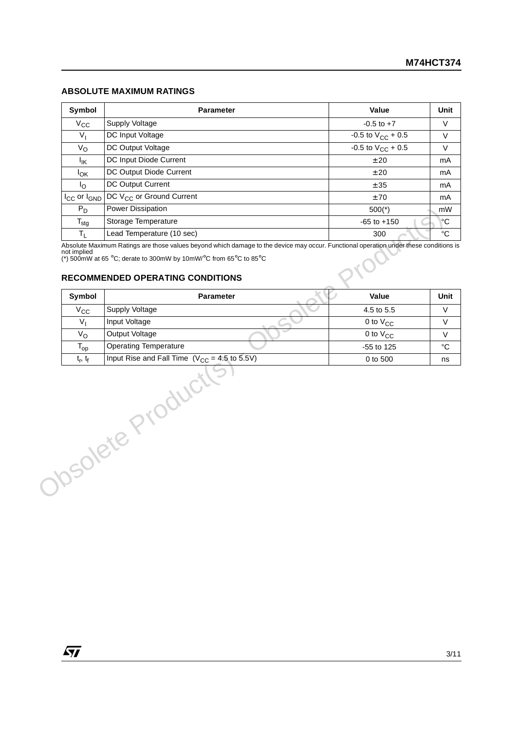#### **ABSOLUTE MAXIMUM RATINGS**

| Symbol                        | <b>Parameter</b>                     | Value                    | Unit |
|-------------------------------|--------------------------------------|--------------------------|------|
| $V_{\rm CC}$                  | Supply Voltage                       | $-0.5$ to $+7$           | V    |
| $V_{I}$                       | DC Input Voltage                     | -0.5 to $V_{CC}$ + 0.5   | V    |
| $V_{\rm O}$                   | DC Output Voltage                    | $-0.5$ to $V_{CC}$ + 0.5 | V    |
| ŀικ                           | DC Input Diode Current               | ±20                      | mA   |
| $I_{OK}$                      | DC Output Diode Current              | ±20                      | mA   |
| <u>Io</u>                     | DC Output Current                    | ± 35                     | mA   |
| $I_{\rm CC}$ or $I_{\rm GND}$ | DC V <sub>CC</sub> or Ground Current | ±70                      | mA   |
| $P_D$                         | Power Dissipation                    | $500(*)$                 | mW   |
| $T_{\text{stg}}$              | Storage Temperature                  | $-65$ to $+150$          | ۴C   |
| $\mathsf{T}_{\mathsf{L}}$     | Lead Temperature (10 sec)            | 300                      | °C   |

#### **RECOMMENDED OPERATING CONDITIONS**

| $\mathsf{T}_{\mathsf{stg}}$<br>$T_{\rm L}$ |                                                                                                                                                                    |                      |
|--------------------------------------------|--------------------------------------------------------------------------------------------------------------------------------------------------------------------|----------------------|
|                                            | Storage Temperature                                                                                                                                                | $-65$ to $+150$      |
|                                            | Lead Temperature (10 sec)<br>Absolute Maximum Ratings are those values beyond which damage to the device may occur. Functional operation under these conditions is | 300                  |
| not implied                                | (*) 500mW at 65 °C; derate to 300mW by 10mW/°C from 65°C to 85°C<br><b>RECOMMENDED OPERATING CONDITIONS</b>                                                        |                      |
| Symbol                                     | <b>Parameter</b>                                                                                                                                                   | Value                |
| $V_{\rm CC}$                               | Supply Voltage                                                                                                                                                     | 4.5 to 5.5           |
| $V_{1}$                                    | Input Voltage                                                                                                                                                      | 0 to V <sub>CC</sub> |
| $V_{\rm O}$                                | Output Voltage                                                                                                                                                     | 0 to $V_{CC}$        |
| $T_{op}$                                   | <b>Operating Temperature</b>                                                                                                                                       | -55 to 125           |
| $t_r$ , $t_f$                              | Input Rise and Fall Time $(V_{CC} = 4.5$ to 5.5V)                                                                                                                  | 0 to 500             |
|                                            |                                                                                                                                                                    |                      |
|                                            | Obsolete Product                                                                                                                                                   |                      |

 $\sqrt{11}$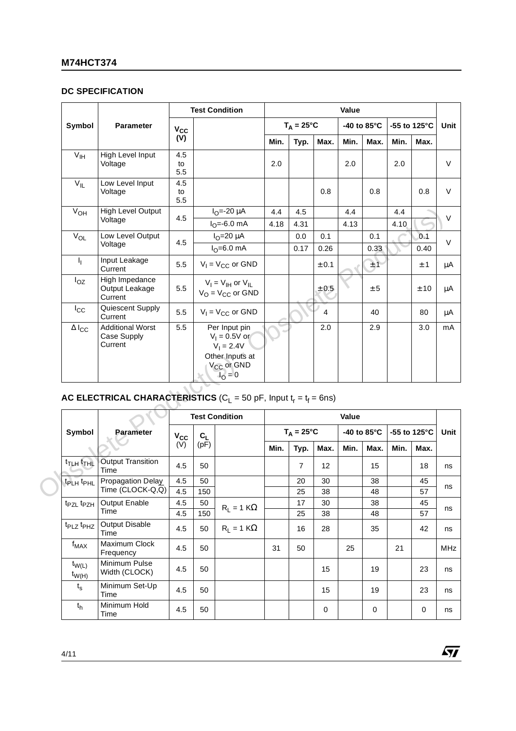### **DC SPECIFICATION**

|                                   |                                                                          |                      |           | <b>Test Condition</b>                                                                                      |      |                     |          | Value |                       |      |                         |              |
|-----------------------------------|--------------------------------------------------------------------------|----------------------|-----------|------------------------------------------------------------------------------------------------------------|------|---------------------|----------|-------|-----------------------|------|-------------------------|--------------|
| Symbol                            | <b>Parameter</b>                                                         | $V_{\rm CC}$         |           |                                                                                                            |      | $T_A = 25^{\circ}C$ |          |       | -40 to $85^{\circ}$ C |      | -55 to 125 $^{\circ}$ C | Unit         |
|                                   |                                                                          | (V)                  |           |                                                                                                            | Min. | Typ.                | Max.     | Min.  | Max.                  | Min. | Max.                    |              |
| V <sub>IH</sub>                   | High Level Input<br>Voltage                                              | 4.5<br>to<br>5.5     |           |                                                                                                            | 2.0  |                     |          | 2.0   |                       | 2.0  |                         | $\mathsf{V}$ |
| $V_{IL}$                          | Low Level Input<br>Voltage                                               | 4.5<br>to<br>$5.5\,$ |           |                                                                                                            |      |                     | 0.8      |       | 0.8                   |      | 0.8                     | $\vee$       |
| V <sub>OH</sub>                   | <b>High Level Output</b><br>Voltage                                      | 4.5                  |           | $I_{\Omega} = -20 \mu A$<br>$I_{\Omega} = -6.0$ mA                                                         | 4.4  | 4.5                 |          | 4.4   |                       | 4.4  |                         | $\vee$       |
| $V_{OL}$                          | Low Level Output                                                         | 4.5                  |           | $IO=20 \mu A$                                                                                              | 4.18 | 4.31<br>0.0         | 0.1      | 4.13  | 0.1                   | 4.10 | 0.1                     | $\vee$       |
|                                   | Voltage                                                                  |                      |           | $IO=6.0$ mA                                                                                                |      | 0.17                | 0.26     |       | 0.33                  |      | 0.40                    |              |
| $I_{\parallel}$                   | Input Leakage<br>Current                                                 | 5.5                  |           | $V_1 = V_{CC}$ or GND                                                                                      |      |                     | ± 0.1    |       | ±1                    |      | ± 1                     | μA           |
| $I_{OZ}$                          | High Impedance<br>Output Leakage<br>Current                              | 5.5                  |           | $V_1 = V_{IH}$ or $V_{IL}$<br>$V_O = V_{CC}$ or GND                                                        |      |                     | ± 0.5    |       | ± 5                   |      | ± 10                    | μA           |
| $I_{\rm CC}$                      | Quiescent Supply<br>Current                                              | 5.5                  |           | $V_1 = V_{CC}$ or GND                                                                                      |      |                     | 4        |       | 40                    |      | 80                      | μA           |
| $\Delta I_{\rm CC}$               | <b>Additional Worst</b><br>Case Supply<br>Current                        | 5.5                  |           | Per Input pin<br>$V_1 = 0.5V$ or<br>$V_1 = 2.4V$<br>Other Inputs at<br>V <sub>CC</sub> or GND<br>$1_0 = 0$ |      |                     | 2.0      |       | 2.9                   |      | 3.0                     | mA           |
|                                   | AC ELECTRICAL CHARACTERISTICS ( $C_1 = 50$ pF, Input $t_r = t_f = 6$ ns) |                      |           |                                                                                                            |      |                     |          |       |                       |      |                         |              |
|                                   |                                                                          |                      |           | <b>Test Condition</b>                                                                                      |      |                     |          | Value |                       |      |                         |              |
| Symbol                            | Parameter<br>K                                                           | $V_{\rm CC}$         | $C_L$     |                                                                                                            |      | $T_A = 25^{\circ}C$ |          |       | -40 to 85°C           |      | -55 to 125°C            | Unit         |
|                                   |                                                                          | (V)                  | (pF)      |                                                                                                            | Min. | Typ.                | Max.     | Min.  | Max.                  | Min. | Max.                    |              |
| t <sub>TLH</sub> t <sub>THL</sub> | <b>Output Transition</b><br>Time                                         | 4.5                  | 50        |                                                                                                            |      | 7                   | 12       |       | 15                    |      | 18                      | ns           |
| t <sub>PLH</sub> t <sub>PHL</sub> | Propagation Delay                                                        | 4.5                  | 50        |                                                                                                            |      | 20                  | 30       |       | 38                    |      | 45                      | ns           |
|                                   | Time (CLOCK-Q,Q)                                                         | 4.5                  | 150       |                                                                                                            |      | 25                  | 38       |       | 48                    |      | 57                      |              |
| t <sub>PZL</sub> t <sub>PZH</sub> | Output Enable<br>Time                                                    | 4.5<br>4.5           | 50<br>150 | $R_1 = 1 K\Omega$                                                                                          |      | 17<br>25            | 30<br>38 |       | 38<br>48              |      | 45<br>57                | ns           |
| $+$ $+$                           | Output Dieable                                                           |                      |           |                                                                                                            |      |                     |          |       |                       |      |                         |              |

# **AC ELECTRICAL CHARACTERISTICS** ( $C_L$  = 50 pF, Input  $t_r = t_f = 6$ ns)

|                                       |                                |          |       | <b>Test Condition</b> |      |                     |      | Value |                       |      |                        |            |
|---------------------------------------|--------------------------------|----------|-------|-----------------------|------|---------------------|------|-------|-----------------------|------|------------------------|------------|
| Symbol                                | <b>Parameter</b>               | $V_{CC}$ | $C_L$ |                       |      | $T_A = 25^{\circ}C$ |      |       | -40 to $85^{\circ}$ C |      | -55 to 125 $\degree$ C | Unit       |
|                                       |                                | (V)      | (pF)  |                       | Min. | Typ.                | Max. | Min.  | Max.                  | Min. | Max.                   |            |
| $t$ <sub>TLH</sub> $t$ <sub>THL</sub> | Output Transition<br>Time      | 4.5      | 50    |                       |      | $\overline{7}$      | 12   |       | 15                    |      | 18                     | ns         |
| t <sub>PLH</sub> t <sub>PHL</sub>     | <b>Propagation Delay</b>       | 4.5      | 50    |                       |      | 20                  | 30   |       | 38                    |      | 45                     |            |
|                                       | Time (CLOCK-Q,Q)               | 4.5      | 150   |                       |      | 25                  | 38   |       | 48                    |      | 57                     | ns         |
| t <sub>PZL</sub> t <sub>PZH</sub>     | <b>Output Enable</b>           | 4.5      | 50    | $R_1 = 1 K\Omega$     |      | 17                  | 30   |       | 38                    |      | 45                     |            |
|                                       | Time                           | 4.5      | 150   |                       |      | 25                  | 38   |       | 48                    |      | 57                     | ns         |
| t <sub>PLZ</sub> t <sub>PHZ</sub>     | <b>Output Disable</b><br>Time  | 4.5      | 50    | $R_1 = 1$ K $\Omega$  |      | 16                  | 28   |       | 35                    |      | 42                     | ns         |
| $f_{MAX}$                             | Maximum Clock<br>Frequency     | 4.5      | 50    |                       | 31   | 50                  |      | 25    |                       | 21   |                        | <b>MHz</b> |
| $t_{W(L)}$<br>$t_{W(H)}$              | Minimum Pulse<br>Width (CLOCK) | 4.5      | 50    |                       |      |                     | 15   |       | 19                    |      | 23                     | ns         |
| $t_{\rm s}$                           | Minimum Set-Up<br>Time         | 4.5      | 50    |                       |      |                     | 15   |       | 19                    |      | 23                     | ns         |
| $t_{h}$                               | Minimum Hold<br>Time           | 4.5      | 50    |                       |      |                     | 0    |       | 0                     |      | $\mathbf 0$            | ns         |

 $\sqrt{M}$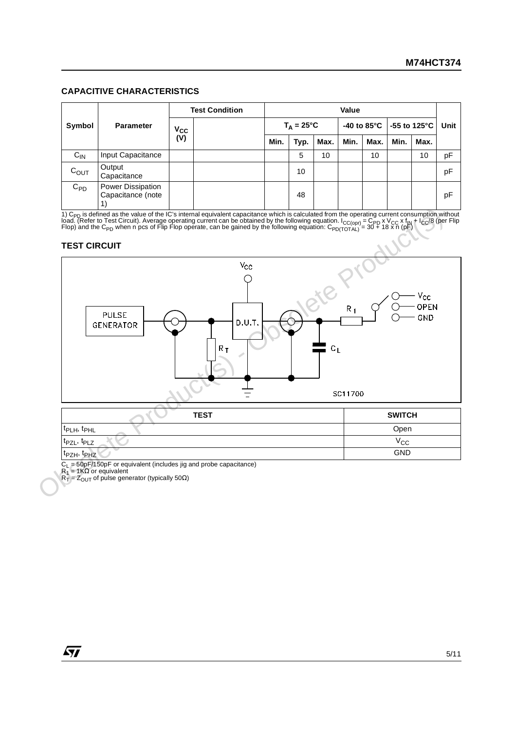#### **CAPACITIVE CHARACTERISTICS**

|           |                                        |              | <b>Test Condition</b> |      |                     |      | Value |                        |                           |      |      |
|-----------|----------------------------------------|--------------|-----------------------|------|---------------------|------|-------|------------------------|---------------------------|------|------|
| Symbol    | <b>Parameter</b>                       | $V_{\rm CC}$ |                       |      | $T_A = 25^{\circ}C$ |      |       | -40 to 85 $^{\circ}$ C | $-55$ to 125 $^{\circ}$ C |      | Unit |
|           |                                        | (V)          |                       | Min. | Typ.                | Max. | Min.  | Max.                   | Min.                      | Max. |      |
| $C_{IN}$  | Input Capacitance                      |              |                       |      | 5                   | 10   |       | 10                     |                           | 10   | рF   |
| $C_{OUT}$ | Output<br>Capacitance                  |              |                       |      | 10                  |      |       |                        |                           |      | pF   |
| $C_{PD}$  | Power Dissipation<br>Capacitance (note |              |                       |      | 48                  |      |       |                        |                           |      | pF   |

1) C<sub>PD</sub> is defined as the value of the IC's internal equivalent capacitance which is calculated from the operating current consumption without<br>load. (Refer to Test Circuit). Average operating current can be obtained by th

#### **TEST CIRCUIT**



C<sub>L</sub> = 50pF/150pF or equivalent (includes jig and probe capacitance)<br>R<sub>1</sub> = 1KΩ or equivalent<br>R<sub>T</sub> = Z<sub>OUT</sub> of pulse generator (typically 50Ω)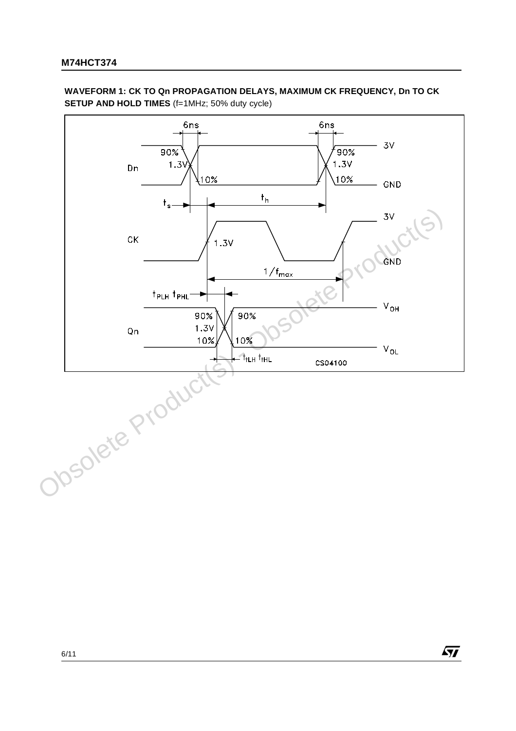**WAVEFORM 1: CK TO Qn PROPAGATION DELAYS, MAXIMUM CK FREQUENCY, Dn TO CK SETUP AND HOLD TIMES** (f=1MHz; 50% duty cycle)



 $\sqrt{M}$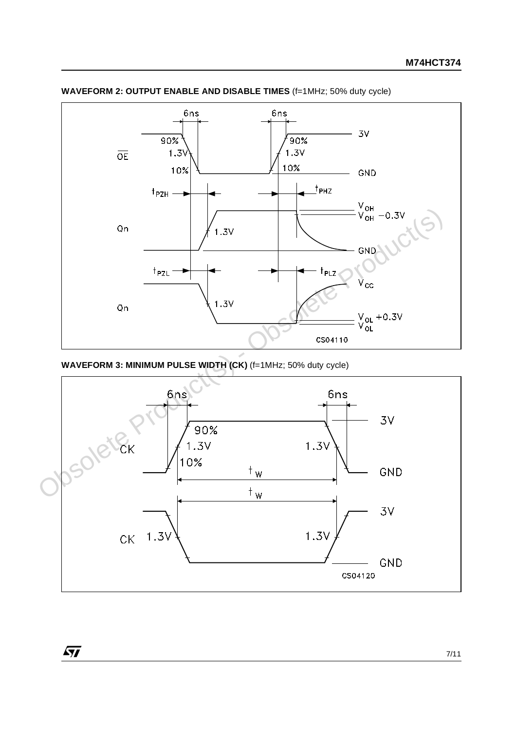

**WAVEFORM 2: OUTPUT ENABLE AND DISABLE TIMES** (f=1MHz; 50% duty cycle)

 $\sqrt{27}$ 

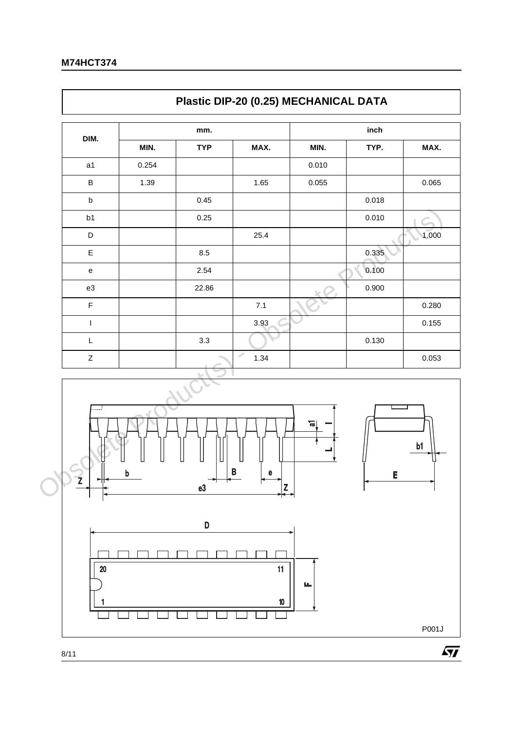$\Gamma$ 

| DIM.                                                                                                        |       |            |           |        |       |       |
|-------------------------------------------------------------------------------------------------------------|-------|------------|-----------|--------|-------|-------|
|                                                                                                             |       | mm.        |           |        | inch  |       |
|                                                                                                             | MIN.  | <b>TYP</b> | MAX.      | MIN.   | TYP.  | MAX.  |
| a <sub>1</sub>                                                                                              | 0.254 |            |           | 0.010  |       |       |
| $\sf B$                                                                                                     | 1.39  |            | 1.65      | 0.055  |       | 0.065 |
| $\sf b$                                                                                                     |       | 0.45       |           |        | 0.018 |       |
| b1                                                                                                          |       | 0.25       |           |        | 0.010 |       |
| $\mathsf D$                                                                                                 |       |            | 25.4      |        |       | 1.000 |
| Е                                                                                                           |       | $8.5\,$    |           |        | 0.335 |       |
| $\mathsf{e}% _{0}\left( \mathsf{e}\right)$                                                                  |       | 2.54       |           |        | 0.100 |       |
| e3                                                                                                          |       | 22.86      |           |        | 0.900 |       |
| $\mathsf F$                                                                                                 |       |            | $7.1$     |        |       | 0.280 |
| $\mathsf I$                                                                                                 |       |            | 3.93      |        |       | 0.155 |
| $\mathsf{L}% _{0}\left( \mathsf{L}_{0}\right) ^{\ast }=\mathsf{L}_{0}\left( \mathsf{L}_{0}\right) ^{\ast }$ |       | 3.3        |           |        | 0.130 |       |
| $\mathsf Z$                                                                                                 |       |            | Í<br>1.34 |        |       | 0.053 |
| .                                                                                                           | b     |            | e         | ᢛ      | E     | b1    |
|                                                                                                             |       |            | e3        | B<br>Z |       |       |

٦





8/11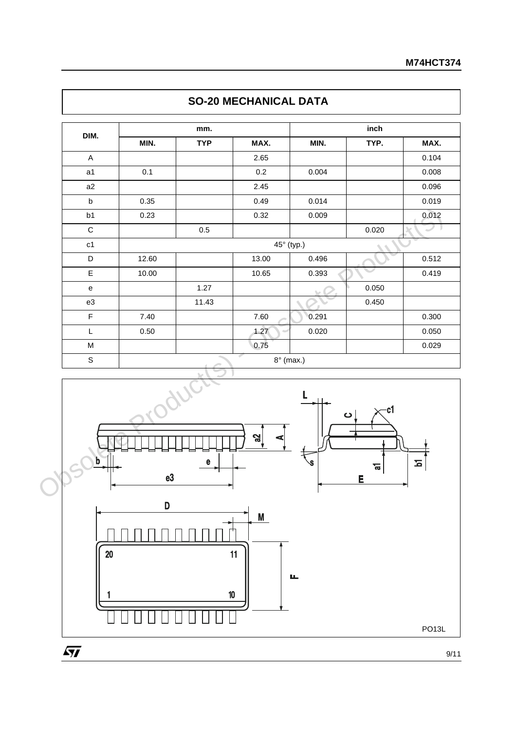| DIM.           |         | mm.        |             |       | inch   |       |
|----------------|---------|------------|-------------|-------|--------|-------|
|                | MIN.    | <b>TYP</b> | MAX.        | MIN.  | TYP.   | MAX.  |
| $\mathsf A$    |         |            | 2.65        |       |        | 0.104 |
| a1             | 0.1     |            | $0.2\,$     | 0.004 |        | 0.008 |
| a2             |         |            | 2.45        |       |        | 0.096 |
| $\sf b$        | 0.35    |            | 0.49        | 0.014 |        | 0.019 |
| b1             | 0.23    |            | 0.32        | 0.009 |        | 0.012 |
| $\mathbf C$    |         | $0.5\,$    |             |       | 0.020  | D     |
| c1             |         |            | 45° (typ.)  |       |        |       |
| D              | 12.60   |            | 13.00       | 0.496 |        | 0.512 |
| $\mathsf E$    | 10.00   |            | 10.65       | 0.393 |        | 0.419 |
| ${\bf e}$      |         | 1.27       |             |       | 0.050  |       |
| e3             |         | 11.43      |             |       | 0.450  |       |
| $\overline{F}$ | 7.40    |            | 7.60        | 0.291 |        | 0.300 |
| L              | 0.50    |            | 1.27        | 0.020 |        | 0.050 |
| M              |         |            | 0.75        |       |        | 0.029 |
| $\mathsf S$    |         |            | $8°$ (max.) |       |        |       |
| b              |         | e          | ပ္ဖ         |       | ပ      | 즈     |
|                | e3<br>D |            |             |       | ᢛ<br>E |       |

# **SO-20 MECHANICAL DATA**



9/11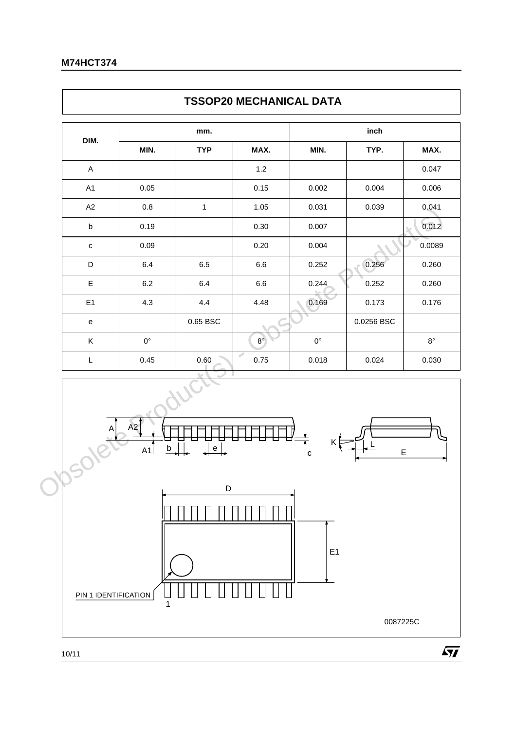| <b>TYP</b><br>$\mathbf{1}$<br>$6.5\,$<br>6.4<br>4.4 | MAX.<br>$1.2$<br>0.15<br>1.05<br>$0.30\,$<br>0.20<br>$6.6\,$<br>$6.6\,$<br>4.48 | MIN.<br>0.002<br>0.031<br>0.007<br>0.004<br>0.252<br>0.244 | TYP.<br>0.004<br>0.039<br>0.256<br>0.252 | MAX.           |
|-----------------------------------------------------|---------------------------------------------------------------------------------|------------------------------------------------------------|------------------------------------------|----------------|
|                                                     |                                                                                 |                                                            |                                          | 0.047          |
|                                                     |                                                                                 |                                                            |                                          | 0.006          |
|                                                     |                                                                                 |                                                            |                                          | 0.041<br>0.012 |
|                                                     |                                                                                 |                                                            |                                          |                |
|                                                     |                                                                                 |                                                            |                                          | 0.0089         |
|                                                     |                                                                                 |                                                            |                                          | 0.260<br>0.260 |
|                                                     |                                                                                 |                                                            |                                          |                |
|                                                     |                                                                                 |                                                            |                                          |                |
|                                                     |                                                                                 | 0.169                                                      | 0.173                                    | 0.176          |
| $0.65$ BSC                                          |                                                                                 |                                                            | 0.0256 BSC                               |                |
|                                                     | $8^{\circ}$                                                                     | $0^{\circ}$                                                |                                          | $8^{\circ}$    |
| $0.60\,$                                            | ℐ<br>0.75                                                                       | 0.018                                                      | 0.024                                    | 0.030          |
| $\mathsf{e}% _{t}\left( t\right)$                   |                                                                                 | c                                                          | E                                        |                |
|                                                     | $\mathsf D$                                                                     |                                                            |                                          |                |

ī

 $\sqrt{M}$ 



Г